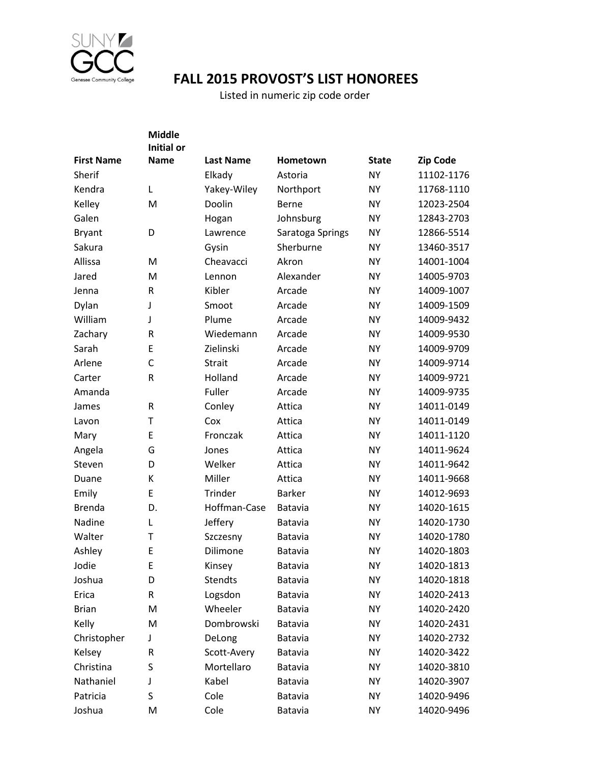

## **FALL 2015 PROVOST'S LIST HONOREES**

Listed in numeric zip code order

|                   | <b>Middle</b>     |                  |                  |              |                 |
|-------------------|-------------------|------------------|------------------|--------------|-----------------|
|                   | <b>Initial or</b> |                  |                  |              |                 |
| <b>First Name</b> | <b>Name</b>       | <b>Last Name</b> | Hometown         | <b>State</b> | <b>Zip Code</b> |
| Sherif            |                   | Elkady           | Astoria          | <b>NY</b>    | 11102-1176      |
| Kendra            | Г                 | Yakey-Wiley      | Northport        | <b>NY</b>    | 11768-1110      |
| Kelley            | M                 | Doolin           | <b>Berne</b>     | <b>NY</b>    | 12023-2504      |
| Galen             |                   | Hogan            | Johnsburg        | <b>NY</b>    | 12843-2703      |
| <b>Bryant</b>     | D                 | Lawrence         | Saratoga Springs | <b>NY</b>    | 12866-5514      |
| Sakura            |                   | Gysin            | Sherburne        | <b>NY</b>    | 13460-3517      |
| Allissa           | M                 | Cheavacci        | Akron            | <b>NY</b>    | 14001-1004      |
| Jared             | M                 | Lennon           | Alexander        | <b>NY</b>    | 14005-9703      |
| Jenna             | R                 | Kibler           | Arcade           | <b>NY</b>    | 14009-1007      |
| Dylan             | J                 | Smoot            | Arcade           | <b>NY</b>    | 14009-1509      |
| William           | J                 | Plume            | Arcade           | <b>NY</b>    | 14009-9432      |
| Zachary           | R                 | Wiedemann        | Arcade           | <b>NY</b>    | 14009-9530      |
| Sarah             | E                 | Zielinski        | Arcade           | <b>NY</b>    | 14009-9709      |
| Arlene            | C                 | <b>Strait</b>    | Arcade           | <b>NY</b>    | 14009-9714      |
| Carter            | R                 | Holland          | Arcade           | <b>NY</b>    | 14009-9721      |
| Amanda            |                   | Fuller           | Arcade           | <b>NY</b>    | 14009-9735      |
| James             | R                 | Conley           | Attica           | <b>NY</b>    | 14011-0149      |
| Lavon             | Т                 | Cox              | Attica           | <b>NY</b>    | 14011-0149      |
| Mary              | Ε                 | Fronczak         | Attica           | <b>NY</b>    | 14011-1120      |
| Angela            | G                 | Jones            | Attica           | <b>NY</b>    | 14011-9624      |
| Steven            | D                 | Welker           | Attica           | <b>NY</b>    | 14011-9642      |
| Duane             | К                 | Miller           | Attica           | <b>NY</b>    | 14011-9668      |
| Emily             | E                 | Trinder          | <b>Barker</b>    | <b>NY</b>    | 14012-9693      |
| <b>Brenda</b>     | D.                | Hoffman-Case     | Batavia          | <b>NY</b>    | 14020-1615      |
| Nadine            | L                 | Jeffery          | Batavia          | <b>NY</b>    | 14020-1730      |
| Walter            | Т                 | Szczesny         | Batavia          | <b>NY</b>    | 14020-1780      |
| Ashley            | Ε                 | Dilimone         | <b>Batavia</b>   | <b>NY</b>    | 14020-1803      |
| Jodie             | Ε                 | Kinsey           | Batavia          | <b>NY</b>    | 14020-1813      |
| Joshua            | D                 | <b>Stendts</b>   | Batavia          | <b>NY</b>    | 14020-1818      |
| Erica             | R                 | Logsdon          | <b>Batavia</b>   | <b>NY</b>    | 14020-2413      |
| <b>Brian</b>      | M                 | Wheeler          | <b>Batavia</b>   | <b>NY</b>    | 14020-2420      |
| Kelly             | M                 | Dombrowski       | Batavia          | <b>NY</b>    | 14020-2431      |
| Christopher       | J                 | DeLong           | <b>Batavia</b>   | <b>NY</b>    | 14020-2732      |
| Kelsey            | R                 | Scott-Avery      | <b>Batavia</b>   | <b>NY</b>    | 14020-3422      |
| Christina         | S                 | Mortellaro       | Batavia          | <b>NY</b>    | 14020-3810      |
| Nathaniel         | J                 | Kabel            | <b>Batavia</b>   | <b>NY</b>    | 14020-3907      |
| Patricia          | S                 | Cole             | <b>Batavia</b>   | ΝY           | 14020-9496      |
| Joshua            | M                 | Cole             | Batavia          | <b>NY</b>    | 14020-9496      |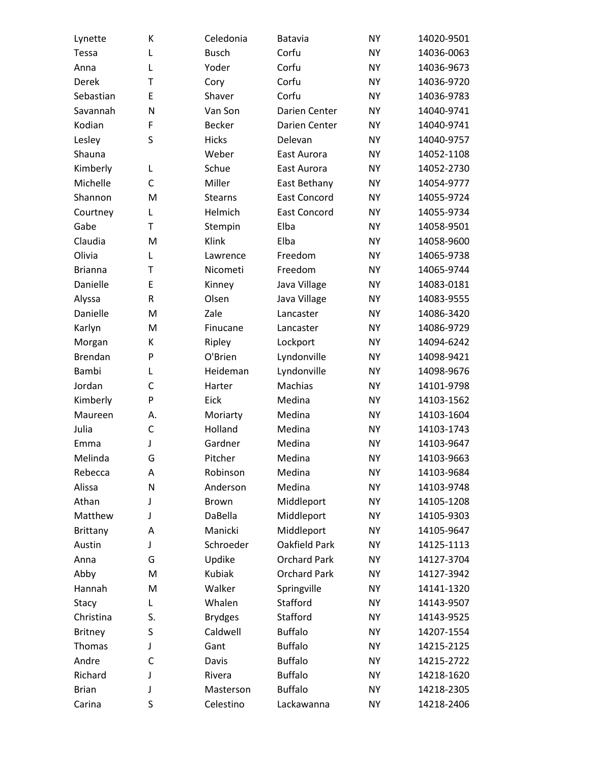| Lynette        | К           | Celedonia      | Batavia             | <b>NY</b> | 14020-9501 |
|----------------|-------------|----------------|---------------------|-----------|------------|
| Tessa          | L           | <b>Busch</b>   | Corfu               | <b>NY</b> | 14036-0063 |
| Anna           | L           | Yoder          | Corfu               | <b>NY</b> | 14036-9673 |
| Derek          | T           | Cory           | Corfu               | <b>NY</b> | 14036-9720 |
| Sebastian      | Ε           | Shaver         | Corfu               | <b>NY</b> | 14036-9783 |
| Savannah       | N           | Van Son        | Darien Center       | <b>NY</b> | 14040-9741 |
| Kodian         | F           | <b>Becker</b>  | Darien Center       | <b>NY</b> | 14040-9741 |
| Lesley         | S           | <b>Hicks</b>   | Delevan             | <b>NY</b> | 14040-9757 |
| Shauna         |             | Weber          | East Aurora         | <b>NY</b> | 14052-1108 |
| Kimberly       | L           | Schue          | East Aurora         | <b>NY</b> | 14052-2730 |
| Michelle       | С           | Miller         | East Bethany        | <b>NY</b> | 14054-9777 |
| Shannon        | M           | <b>Stearns</b> | <b>East Concord</b> | <b>NY</b> | 14055-9724 |
| Courtney       | L           | Helmich        | <b>East Concord</b> | <b>NY</b> | 14055-9734 |
| Gabe           | T           | Stempin        | Elba                | <b>NY</b> | 14058-9501 |
| Claudia        | M           | Klink          | Elba                | <b>NY</b> | 14058-9600 |
| Olivia         | L           | Lawrence       | Freedom             | <b>NY</b> | 14065-9738 |
| <b>Brianna</b> | T           | Nicometi       | Freedom             | <b>NY</b> | 14065-9744 |
| Danielle       | E           | Kinney         | Java Village        | <b>NY</b> | 14083-0181 |
| Alyssa         | $\mathsf R$ | Olsen          | Java Village        | <b>NY</b> | 14083-9555 |
| Danielle       | M           | Zale           | Lancaster           | <b>NY</b> | 14086-3420 |
| Karlyn         | M           | Finucane       | Lancaster           | <b>NY</b> | 14086-9729 |
| Morgan         | К           | Ripley         | Lockport            | <b>NY</b> | 14094-6242 |
| <b>Brendan</b> | P           | O'Brien        | Lyndonville         | <b>NY</b> | 14098-9421 |
| Bambi          | L           | Heideman       | Lyndonville         | <b>NY</b> | 14098-9676 |
| Jordan         | C           | Harter         | Machias             | <b>NY</b> | 14101-9798 |
| Kimberly       | P           | Eick           | Medina              | <b>NY</b> | 14103-1562 |
| Maureen        | А.          | Moriarty       | Medina              | <b>NY</b> | 14103-1604 |
| Julia          | C           | Holland        | Medina              | <b>NY</b> | 14103-1743 |
| Emma           | J           | Gardner        | Medina              | <b>NY</b> | 14103-9647 |
| Melinda        | G           | Pitcher        | Medina              | <b>NY</b> | 14103-9663 |
| Rebecca        | A           | Robinson       | Medina              | <b>NY</b> | 14103-9684 |
| Alissa         | N           | Anderson       | Medina              | <b>NY</b> | 14103-9748 |
| Athan          | J           | Brown          | Middleport          | <b>NY</b> | 14105-1208 |
| Matthew        | J           | DaBella        | Middleport          | <b>NY</b> | 14105-9303 |
| Brittany       | A           | Manicki        | Middleport          | <b>NY</b> | 14105-9647 |
| Austin         | J           | Schroeder      | Oakfield Park       | <b>NY</b> | 14125-1113 |
| Anna           | G           | Updike         | <b>Orchard Park</b> | <b>NY</b> | 14127-3704 |
| Abby           | M           | Kubiak         | <b>Orchard Park</b> | <b>NY</b> | 14127-3942 |
| Hannah         | M           | Walker         | Springville         | <b>NY</b> | 14141-1320 |
| Stacy          | L           | Whalen         | Stafford            | <b>NY</b> | 14143-9507 |
| Christina      | S.          | <b>Brydges</b> | Stafford            | <b>NY</b> | 14143-9525 |
| <b>Britney</b> | S           | Caldwell       | <b>Buffalo</b>      | <b>NY</b> | 14207-1554 |
| Thomas         | J           | Gant           | <b>Buffalo</b>      | <b>NY</b> | 14215-2125 |
| Andre          | C           | Davis          | <b>Buffalo</b>      | <b>NY</b> | 14215-2722 |
| Richard        | J           | Rivera         | <b>Buffalo</b>      | <b>NY</b> | 14218-1620 |
| <b>Brian</b>   | J           | Masterson      | <b>Buffalo</b>      | <b>NY</b> | 14218-2305 |
| Carina         | S           | Celestino      | Lackawanna          | <b>NY</b> | 14218-2406 |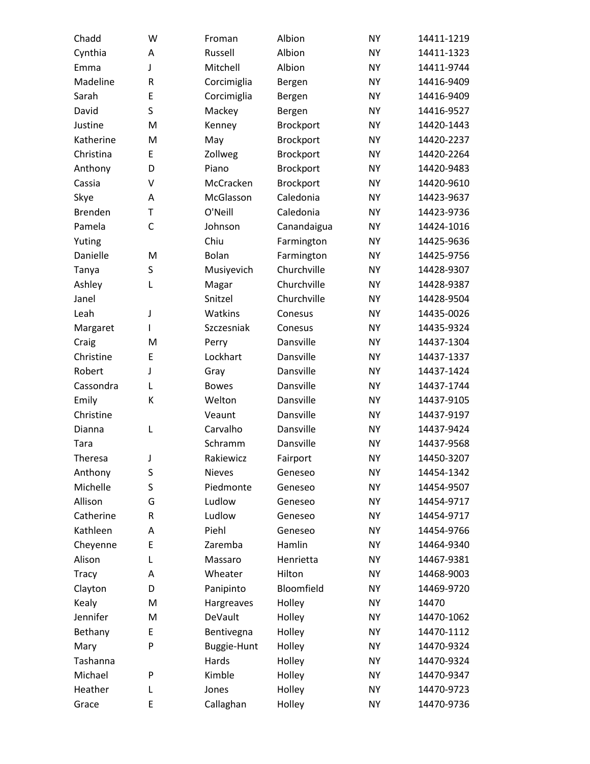| Chadd          | W | Froman        | Albion           | <b>NY</b> | 14411-1219 |
|----------------|---|---------------|------------------|-----------|------------|
| Cynthia        | Α | Russell       | Albion           | <b>NY</b> | 14411-1323 |
| Emma           | J | Mitchell      | Albion           | <b>NY</b> | 14411-9744 |
| Madeline       | R | Corcimiglia   | Bergen           | <b>NY</b> | 14416-9409 |
| Sarah          | E | Corcimiglia   | Bergen           | <b>NY</b> | 14416-9409 |
| David          | S | Mackey        | Bergen           | <b>NY</b> | 14416-9527 |
| Justine        | M | Kenney        | <b>Brockport</b> | <b>NY</b> | 14420-1443 |
| Katherine      | M | May           | <b>Brockport</b> | <b>NY</b> | 14420-2237 |
| Christina      | Ε | Zollweg       | Brockport        | <b>NY</b> | 14420-2264 |
| Anthony        | D | Piano         | Brockport        | <b>NY</b> | 14420-9483 |
| Cassia         | V | McCracken     | Brockport        | <b>NY</b> | 14420-9610 |
| Skye           | A | McGlasson     | Caledonia        | <b>NY</b> | 14423-9637 |
| <b>Brenden</b> | T | O'Neill       | Caledonia        | <b>NY</b> | 14423-9736 |
| Pamela         | C | Johnson       | Canandaigua      | <b>NY</b> | 14424-1016 |
| Yuting         |   | Chiu          | Farmington       | <b>NY</b> | 14425-9636 |
| Danielle       | M | Bolan         | Farmington       | <b>NY</b> | 14425-9756 |
| Tanya          | S | Musiyevich    | Churchville      | <b>NY</b> | 14428-9307 |
| Ashley         | L | Magar         | Churchville      | <b>NY</b> | 14428-9387 |
| Janel          |   | Snitzel       | Churchville      | <b>NY</b> | 14428-9504 |
| Leah           | J | Watkins       | Conesus          | <b>NY</b> | 14435-0026 |
| Margaret       | I | Szczesniak    | Conesus          | <b>NY</b> | 14435-9324 |
| Craig          | M | Perry         | Dansville        | <b>NY</b> | 14437-1304 |
| Christine      | E | Lockhart      | Dansville        | <b>NY</b> | 14437-1337 |
| Robert         | J | Gray          | Dansville        | <b>NY</b> | 14437-1424 |
| Cassondra      | L | <b>Bowes</b>  | Dansville        | <b>NY</b> | 14437-1744 |
| Emily          | К | Welton        | Dansville        | <b>NY</b> | 14437-9105 |
| Christine      |   | Veaunt        | Dansville        | <b>NY</b> | 14437-9197 |
| Dianna         | L | Carvalho      | Dansville        | <b>NY</b> | 14437-9424 |
| Tara           |   | Schramm       | Dansville        | <b>NY</b> | 14437-9568 |
| Theresa        | J | Rakiewicz     | Fairport         | <b>NY</b> | 14450-3207 |
| Anthony        | S | <b>Nieves</b> | Geneseo          | <b>NY</b> | 14454-1342 |
| Michelle       | S | Piedmonte     | Geneseo          | <b>NY</b> | 14454-9507 |
| Allison        | G | Ludlow        | Geneseo          | <b>NY</b> | 14454-9717 |
| Catherine      | R | Ludlow        | Geneseo          | <b>NY</b> | 14454-9717 |
| Kathleen       | Α | Piehl         | Geneseo          | <b>NY</b> | 14454-9766 |
| Cheyenne       | E | Zaremba       | Hamlin           | <b>NY</b> | 14464-9340 |
| Alison         | L | Massaro       | Henrietta        | <b>NY</b> | 14467-9381 |
| Tracy          | Α | Wheater       | Hilton           | <b>NY</b> | 14468-9003 |
| Clayton        | D | Panipinto     | Bloomfield       | <b>NY</b> | 14469-9720 |
| Kealy          | M | Hargreaves    | Holley           | <b>NY</b> | 14470      |
| Jennifer       | M | DeVault       | Holley           | <b>NY</b> | 14470-1062 |
| Bethany        | E | Bentivegna    | Holley           | <b>NY</b> | 14470-1112 |
| Mary           | P | Buggie-Hunt   | Holley           | <b>NY</b> | 14470-9324 |
| Tashanna       |   | Hards         | Holley           | <b>NY</b> | 14470-9324 |
| Michael        | P | Kimble        | Holley           | <b>NY</b> | 14470-9347 |
| Heather        | L | Jones         | Holley           | <b>NY</b> | 14470-9723 |
| Grace          | E | Callaghan     | Holley           | <b>NY</b> | 14470-9736 |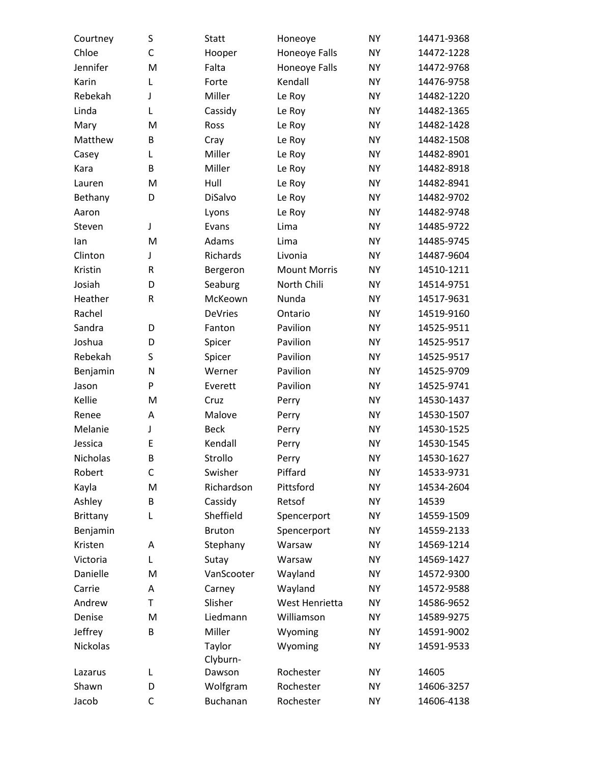| Courtney        | S | <b>Statt</b>   | Honeoye             | <b>NY</b> | 14471-9368 |
|-----------------|---|----------------|---------------------|-----------|------------|
| Chloe           | C | Hooper         | Honeoye Falls       | <b>NY</b> | 14472-1228 |
| Jennifer        | M | Falta          | Honeoye Falls       | <b>NY</b> | 14472-9768 |
| Karin           | L | Forte          | Kendall             | <b>NY</b> | 14476-9758 |
| Rebekah         | J | Miller         | Le Roy              | <b>NY</b> | 14482-1220 |
| Linda           | L | Cassidy        | Le Roy              | <b>NY</b> | 14482-1365 |
| Mary            | M | Ross           | Le Roy              | <b>NY</b> | 14482-1428 |
| Matthew         | B | Cray           | Le Roy              | <b>NY</b> | 14482-1508 |
| Casey           | L | Miller         | Le Roy              | <b>NY</b> | 14482-8901 |
| Kara            | B | Miller         | Le Roy              | <b>NY</b> | 14482-8918 |
| Lauren          | M | Hull           | Le Roy              | <b>NY</b> | 14482-8941 |
| Bethany         | D | DiSalvo        | Le Roy              | <b>NY</b> | 14482-9702 |
| Aaron           |   | Lyons          | Le Roy              | <b>NY</b> | 14482-9748 |
| Steven          | J | Evans          | Lima                | <b>NY</b> | 14485-9722 |
| lan             | M | Adams          | Lima                | <b>NY</b> | 14485-9745 |
| Clinton         | J | Richards       | Livonia             | <b>NY</b> | 14487-9604 |
| Kristin         | R | Bergeron       | <b>Mount Morris</b> | <b>NY</b> | 14510-1211 |
| Josiah          | D | Seaburg        | North Chili         | <b>NY</b> | 14514-9751 |
| Heather         | R | McKeown        | Nunda               | <b>NY</b> | 14517-9631 |
| Rachel          |   | <b>DeVries</b> | Ontario             | <b>NY</b> | 14519-9160 |
| Sandra          | D | Fanton         | Pavilion            | <b>NY</b> | 14525-9511 |
| Joshua          | D | Spicer         | Pavilion            | <b>NY</b> | 14525-9517 |
| Rebekah         | S | Spicer         | Pavilion            | <b>NY</b> | 14525-9517 |
| Benjamin        | N | Werner         | Pavilion            | <b>NY</b> | 14525-9709 |
| Jason           | P | Everett        | Pavilion            | <b>NY</b> | 14525-9741 |
| Kellie          | M | Cruz           | Perry               | <b>NY</b> | 14530-1437 |
| Renee           | A | Malove         | Perry               | <b>NY</b> | 14530-1507 |
| Melanie         | J | <b>Beck</b>    | Perry               | <b>NY</b> | 14530-1525 |
| Jessica         | E | Kendall        | Perry               | <b>NY</b> | 14530-1545 |
| Nicholas        | B | Strollo        | Perry               | <b>NY</b> | 14530-1627 |
| Robert          | С | Swisher        | Piffard             | <b>NY</b> | 14533-9731 |
| Kayla           | M | Richardson     | Pittsford           | <b>NY</b> | 14534-2604 |
| Ashley          | B | Cassidy        | Retsof              | <b>NY</b> | 14539      |
| <b>Brittany</b> | L | Sheffield      | Spencerport         | <b>NY</b> | 14559-1509 |
| Benjamin        |   | <b>Bruton</b>  | Spencerport         | <b>NY</b> | 14559-2133 |
| Kristen         | Α | Stephany       | Warsaw              | <b>NY</b> | 14569-1214 |
| Victoria        | L | Sutay          | Warsaw              | <b>NY</b> | 14569-1427 |
| Danielle        | M | VanScooter     | Wayland             | <b>NY</b> | 14572-9300 |
| Carrie          | A | Carney         | Wayland             | <b>NY</b> | 14572-9588 |
| Andrew          | T | Slisher        | West Henrietta      | <b>NY</b> | 14586-9652 |
| Denise          | M | Liedmann       | Williamson          | <b>NY</b> | 14589-9275 |
| Jeffrey         | B | Miller         | Wyoming             | <b>NY</b> | 14591-9002 |
| Nickolas        |   | Taylor         | Wyoming             | <b>NY</b> | 14591-9533 |
|                 |   | Clyburn-       |                     |           |            |
| Lazarus         | L | Dawson         | Rochester           | <b>NY</b> | 14605      |
| Shawn           | D | Wolfgram       | Rochester           | <b>NY</b> | 14606-3257 |
| Jacob           | C | Buchanan       | Rochester           | <b>NY</b> | 14606-4138 |